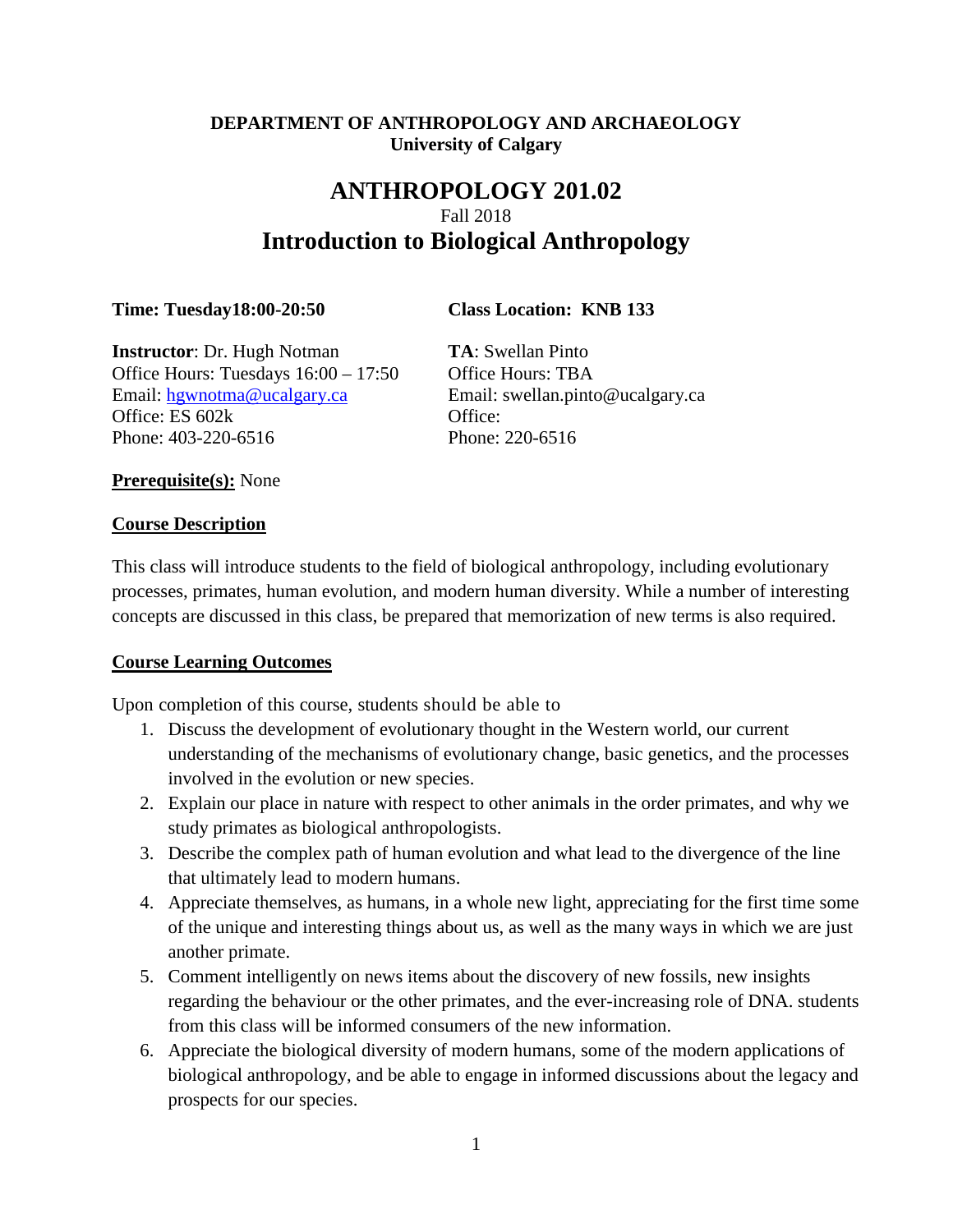# **DEPARTMENT OF ANTHROPOLOGY AND ARCHAEOLOGY University of Calgary**

# **ANTHROPOLOGY 201.02** Fall 2018 **Introduction to Biological Anthropology**

**Time: Tuesday18:00-20:50 Class Location: KNB 133**

**Instructor**: Dr. Hugh Notman **TA**: Swellan Pinto Office Hours: Tuesdays  $16:00 - 17:50$  Office Hours: TBA Email: [hgwnotma@ucalgary.ca](mailto:hgwnotma@ucalgary.ca) Email: swellan.pinto@ucalgary.ca Office: ES 602k Office: Phone: 403-220-6516 Phone: 220-6516

**Prerequisite(s):** None

### **Course Description**

This class will introduce students to the field of biological anthropology, including evolutionary processes, primates, human evolution, and modern human diversity. While a number of interesting concepts are discussed in this class, be prepared that memorization of new terms is also required.

# **Course Learning Outcomes**

Upon completion of this course, students should be able to

- 1. Discuss the development of evolutionary thought in the Western world, our current understanding of the mechanisms of evolutionary change, basic genetics, and the processes involved in the evolution or new species.
- 2. Explain our place in nature with respect to other animals in the order primates, and why we study primates as biological anthropologists.
- 3. Describe the complex path of human evolution and what lead to the divergence of the line that ultimately lead to modern humans.
- 4. Appreciate themselves, as humans, in a whole new light, appreciating for the first time some of the unique and interesting things about us, as well as the many ways in which we are just another primate.
- 5. Comment intelligently on news items about the discovery of new fossils, new insights regarding the behaviour or the other primates, and the ever-increasing role of DNA. students from this class will be informed consumers of the new information.
- 6. Appreciate the biological diversity of modern humans, some of the modern applications of biological anthropology, and be able to engage in informed discussions about the legacy and prospects for our species.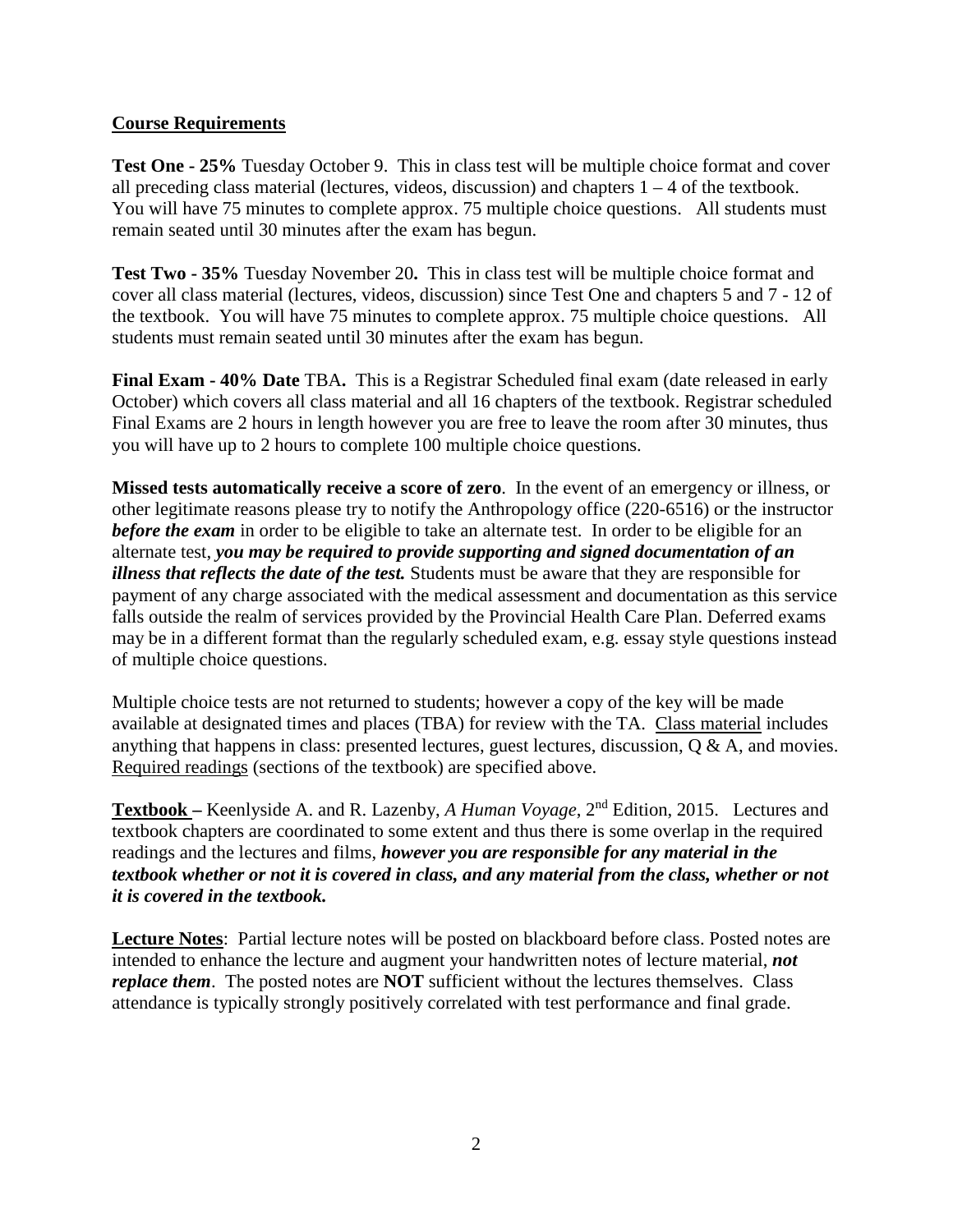## **Course Requirements**

**Test One - 25%** Tuesday October 9. This in class test will be multiple choice format and cover all preceding class material (lectures, videos, discussion) and chapters  $1 - 4$  of the textbook. You will have 75 minutes to complete approx. 75 multiple choice questions. All students must remain seated until 30 minutes after the exam has begun.

**Test Two - 35%** Tuesday November 20**.** This in class test will be multiple choice format and cover all class material (lectures, videos, discussion) since Test One and chapters 5 and 7 - 12 of the textbook. You will have 75 minutes to complete approx. 75 multiple choice questions. All students must remain seated until 30 minutes after the exam has begun.

**Final Exam - 40% Date** TBA**.** This is a Registrar Scheduled final exam (date released in early October) which covers all class material and all 16 chapters of the textbook. Registrar scheduled Final Exams are 2 hours in length however you are free to leave the room after 30 minutes, thus you will have up to 2 hours to complete 100 multiple choice questions.

**Missed tests automatically receive a score of zero**. In the event of an emergency or illness, or other legitimate reasons please try to notify the Anthropology office (220-6516) or the instructor *before the exam* in order to be eligible to take an alternate test. In order to be eligible for an alternate test, *you may be required to provide supporting and signed documentation of an illness that reflects the date of the test.* Students must be aware that they are responsible for payment of any charge associated with the medical assessment and documentation as this service falls outside the realm of services provided by the Provincial Health Care Plan. Deferred exams may be in a different format than the regularly scheduled exam, e.g. essay style questions instead of multiple choice questions.

Multiple choice tests are not returned to students; however a copy of the key will be made available at designated times and places (TBA) for review with the TA. Class material includes anything that happens in class: presented lectures, guest lectures, discussion, Q & A, and movies. Required readings (sections of the textbook) are specified above.

**Textbook –** Keenlyside A. and R. Lazenby, *A Human Voyage*, 2nd Edition, 2015. Lectures and textbook chapters are coordinated to some extent and thus there is some overlap in the required readings and the lectures and films, *however you are responsible for any material in the textbook whether or not it is covered in class, and any material from the class, whether or not it is covered in the textbook.*

**Lecture Notes**: Partial lecture notes will be posted on blackboard before class. Posted notes are intended to enhance the lecture and augment your handwritten notes of lecture material, *not replace them*. The posted notes are **NOT** sufficient without the lectures themselves. Class attendance is typically strongly positively correlated with test performance and final grade.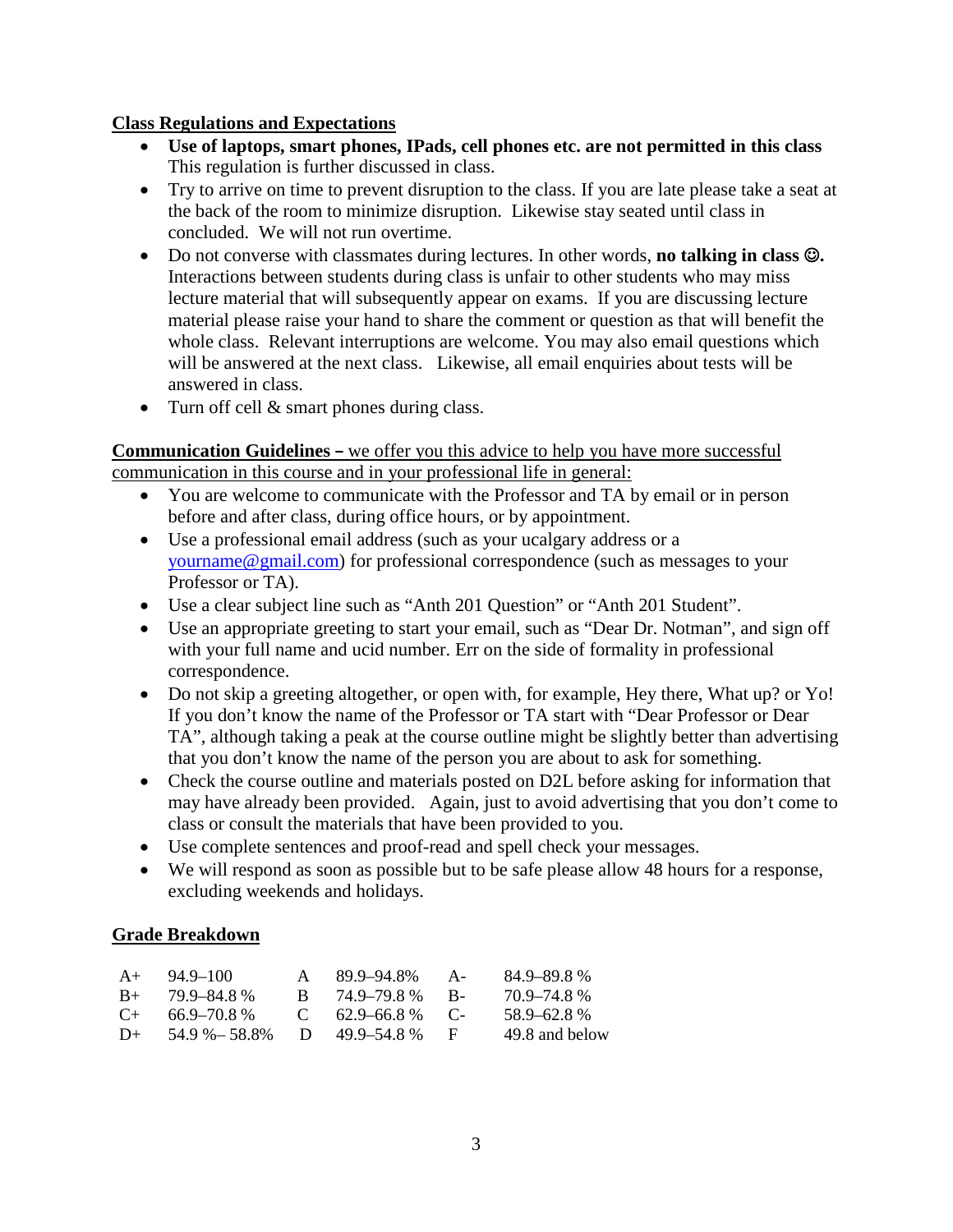## **Class Regulations and Expectations**

- **Use of laptops, smart phones, IPads, cell phones etc. are not permitted in this class** This regulation is further discussed in class.
- Try to arrive on time to prevent disruption to the class. If you are late please take a seat at the back of the room to minimize disruption. Likewise stay seated until class in concluded. We will not run overtime.
- Do not converse with classmates during lectures. In other words, **no talking in class .** Interactions between students during class is unfair to other students who may miss lecture material that will subsequently appear on exams. If you are discussing lecture material please raise your hand to share the comment or question as that will benefit the whole class. Relevant interruptions are welcome. You may also email questions which will be answered at the next class. Likewise, all email enquiries about tests will be answered in class.
- Turn off cell & smart phones during class.

**Communication Guidelines –** we offer you this advice to help you have more successful communication in this course and in your professional life in general:

- You are welcome to communicate with the Professor and TA by email or in person before and after class, during office hours, or by appointment.
- Use a professional email address (such as your ucalgary address or a [yourname@gmail.com\)](mailto:yourname@gmail.com) for professional correspondence (such as messages to your Professor or TA).
- Use a clear subject line such as "Anth 201 Question" or "Anth 201 Student".
- Use an appropriate greeting to start your email, such as "Dear Dr. Notman", and sign off with your full name and ucid number. Err on the side of formality in professional correspondence.
- Do not skip a greeting altogether, or open with, for example, Hey there, What up? or Yo! If you don't know the name of the Professor or TA start with "Dear Professor or Dear TA", although taking a peak at the course outline might be slightly better than advertising that you don't know the name of the person you are about to ask for something.
- Check the course outline and materials posted on D2L before asking for information that may have already been provided. Again, just to avoid advertising that you don't come to class or consult the materials that have been provided to you.
- Use complete sentences and proof-read and spell check your messages.
- We will respond as soon as possible but to be safe please allow 48 hours for a response, excluding weekends and holidays.

# **Grade Breakdown**

| $A+$      | 94.9–100       |    | 89.9–94.8%          | $A -$  | 84.9–89.8%     |
|-----------|----------------|----|---------------------|--------|----------------|
| $B+$      | 79.9–84.8%     | R. | 74.9–79.8%          | - R-   | 70.9–74.8%     |
| $C_{\pm}$ | 66.9–70.8 %    |    | $C = 62.9 - 66.8\%$ | $\sim$ | 58.9–62.8%     |
| $1+$      | 54.9 % - 58.8% |    | D $49.9 - 54.8\%$   |        | 49.8 and below |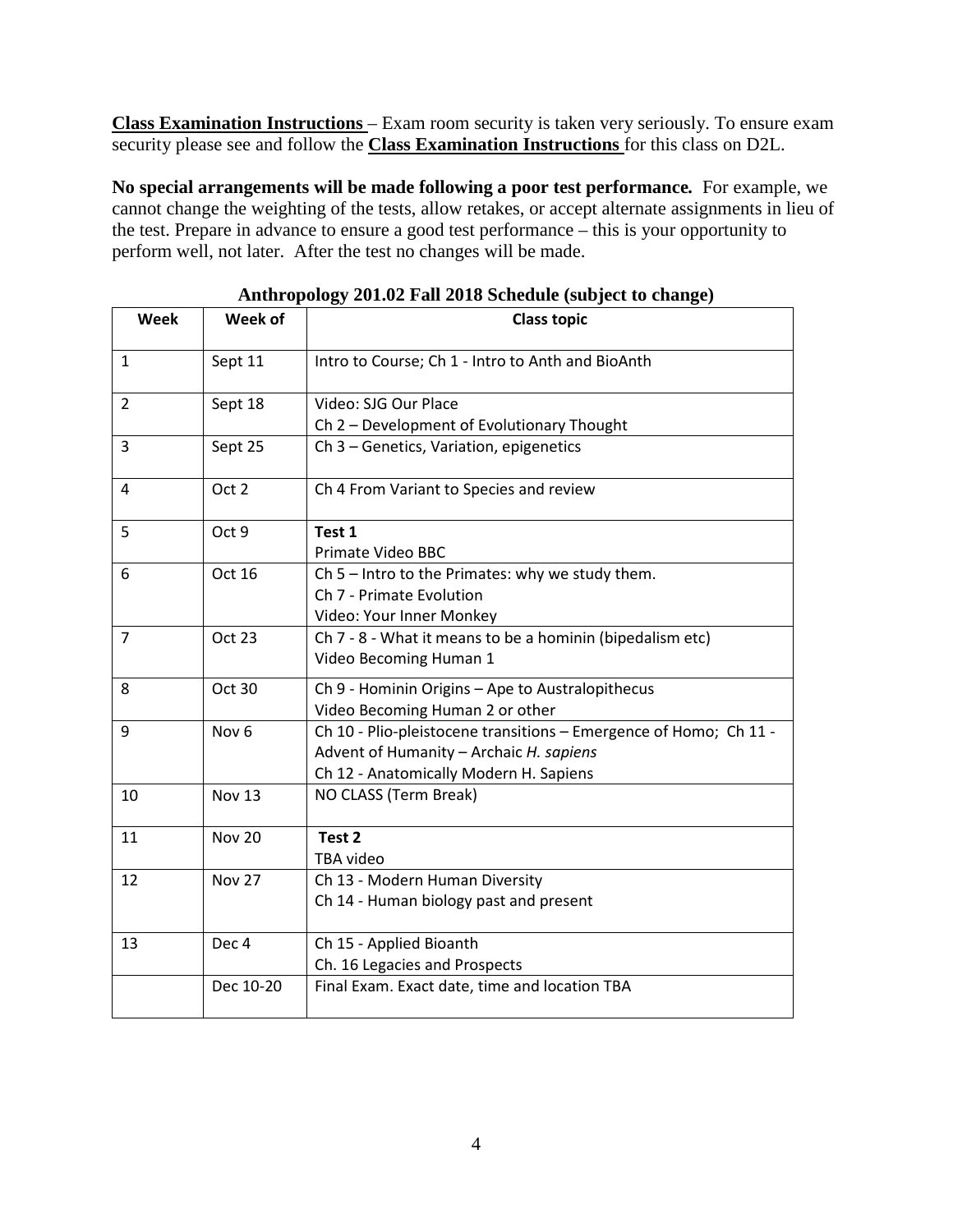**Class Examination Instructions** – Exam room security is taken very seriously. To ensure exam security please see and follow the **Class Examination Instructions** for this class on D2L.

**No special arrangements will be made following a poor test performance***.* For example, we cannot change the weighting of the tests, allow retakes, or accept alternate assignments in lieu of the test. Prepare in advance to ensure a good test performance – this is your opportunity to perform well, not later. After the test no changes will be made.

| Week           | Week of          | ~<br>ิข<br><b>Class topic</b>                                     |
|----------------|------------------|-------------------------------------------------------------------|
| $\mathbf{1}$   | Sept 11          | Intro to Course; Ch 1 - Intro to Anth and BioAnth                 |
| $\overline{2}$ | Sept 18          | Video: SJG Our Place                                              |
|                |                  | Ch 2 - Development of Evolutionary Thought                        |
| 3              | Sept 25          | Ch 3 - Genetics, Variation, epigenetics                           |
| 4              | Oct 2            | Ch 4 From Variant to Species and review                           |
| 5              | Oct 9            | Test 1                                                            |
|                |                  | Primate Video BBC                                                 |
| 6              | Oct 16           | Ch 5 - Intro to the Primates: why we study them.                  |
|                |                  | Ch 7 - Primate Evolution                                          |
|                |                  | Video: Your Inner Monkey                                          |
| $\overline{7}$ | Oct 23           | Ch 7 - 8 - What it means to be a hominin (bipedalism etc)         |
|                |                  | Video Becoming Human 1                                            |
| 8              | Oct 30           | Ch 9 - Hominin Origins - Ape to Australopithecus                  |
|                |                  | Video Becoming Human 2 or other                                   |
| 9              | Nov <sub>6</sub> | Ch 10 - Plio-pleistocene transitions - Emergence of Homo; Ch 11 - |
|                |                  | Advent of Humanity - Archaic H. sapiens                           |
|                |                  | Ch 12 - Anatomically Modern H. Sapiens                            |
| 10             | <b>Nov 13</b>    | NO CLASS (Term Break)                                             |
| 11             | <b>Nov 20</b>    | Test <sub>2</sub>                                                 |
|                |                  | TBA video                                                         |
| 12             | <b>Nov 27</b>    | Ch 13 - Modern Human Diversity                                    |
|                |                  | Ch 14 - Human biology past and present                            |
| 13             | Dec <sub>4</sub> | Ch 15 - Applied Bioanth                                           |
|                |                  | Ch. 16 Legacies and Prospects                                     |
|                | Dec 10-20        | Final Exam. Exact date, time and location TBA                     |

**Anthropology 201.02 Fall 2018 Schedule (subject to change)**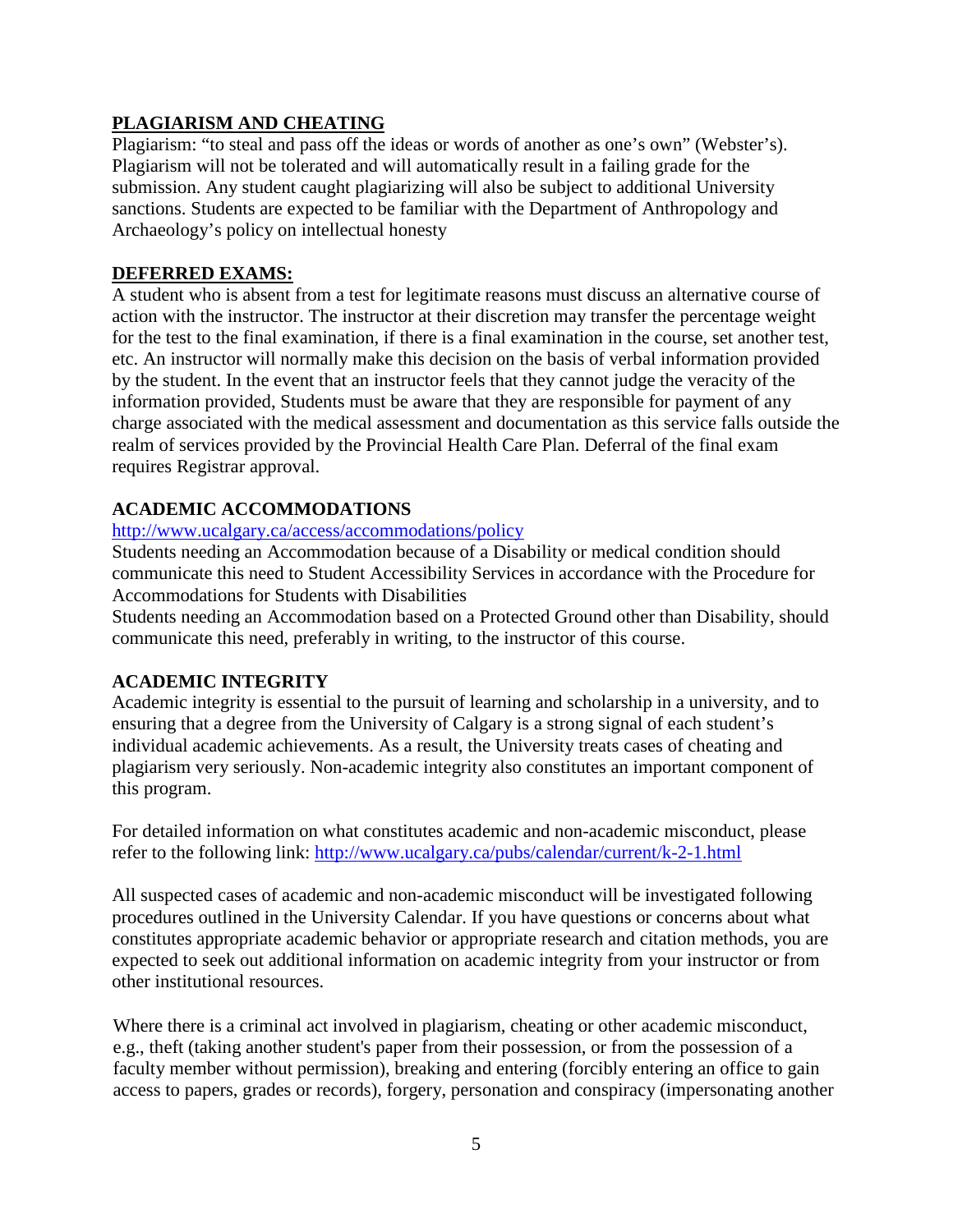# **PLAGIARISM AND CHEATING**

Plagiarism: "to steal and pass off the ideas or words of another as one's own" (Webster's). Plagiarism will not be tolerated and will automatically result in a failing grade for the submission. Any student caught plagiarizing will also be subject to additional University sanctions. Students are expected to be familiar with the Department of Anthropology and Archaeology's policy on intellectual honesty

# **DEFERRED EXAMS:**

A student who is absent from a test for legitimate reasons must discuss an alternative course of action with the instructor. The instructor at their discretion may transfer the percentage weight for the test to the final examination, if there is a final examination in the course, set another test, etc. An instructor will normally make this decision on the basis of verbal information provided by the student. In the event that an instructor feels that they cannot judge the veracity of the information provided, Students must be aware that they are responsible for payment of any charge associated with the medical assessment and documentation as this service falls outside the realm of services provided by the Provincial Health Care Plan. Deferral of the final exam requires Registrar approval.

# **ACADEMIC ACCOMMODATIONS**

### <http://www.ucalgary.ca/access/accommodations/policy>

Students needing an Accommodation because of a Disability or medical condition should communicate this need to Student Accessibility Services in accordance with the Procedure for Accommodations for Students with Disabilities

Students needing an Accommodation based on a Protected Ground other than Disability, should communicate this need, preferably in writing, to the instructor of this course.

# **ACADEMIC INTEGRITY**

Academic integrity is essential to the pursuit of learning and scholarship in a university, and to ensuring that a degree from the University of Calgary is a strong signal of each student's individual academic achievements. As a result, the University treats cases of cheating and plagiarism very seriously. Non-academic integrity also constitutes an important component of this program.

For detailed information on what constitutes academic and non-academic misconduct, please refer to the following link:<http://www.ucalgary.ca/pubs/calendar/current/k-2-1.html>

All suspected cases of academic and non-academic misconduct will be investigated following procedures outlined in the University Calendar. If you have questions or concerns about what constitutes appropriate academic behavior or appropriate research and citation methods, you are expected to seek out additional information on academic integrity from your instructor or from other institutional resources.

Where there is a criminal act involved in plagiarism, cheating or other academic misconduct, e.g., theft (taking another student's paper from their possession, or from the possession of a faculty member without permission), breaking and entering (forcibly entering an office to gain access to papers, grades or records), forgery, personation and conspiracy (impersonating another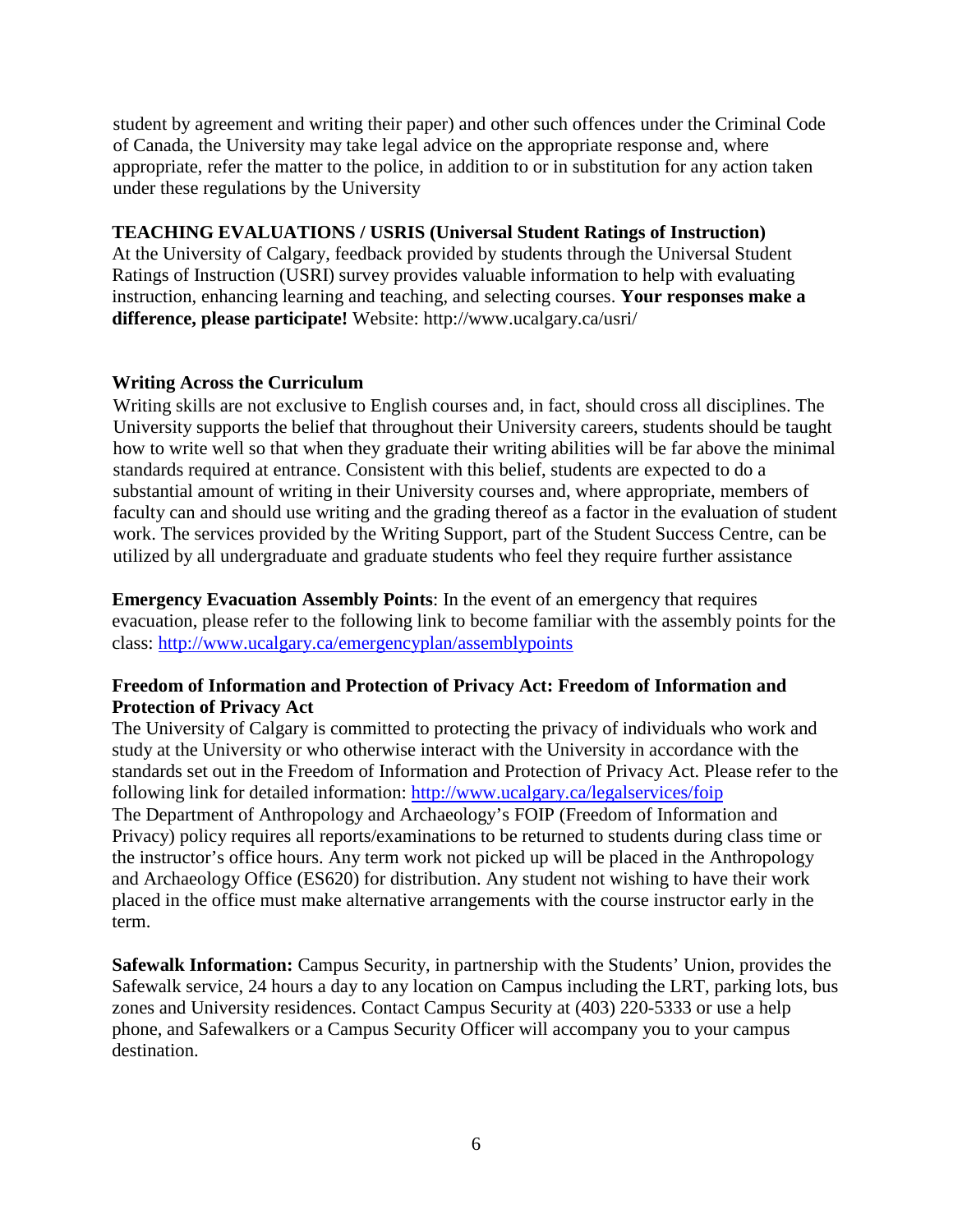student by agreement and writing their paper) and other such offences under the Criminal Code of Canada, the University may take legal advice on the appropriate response and, where appropriate, refer the matter to the police, in addition to or in substitution for any action taken under these regulations by the University

#### **TEACHING EVALUATIONS / USRIS (Universal Student Ratings of Instruction)**

At the University of Calgary, feedback provided by students through the Universal Student Ratings of Instruction (USRI) survey provides valuable information to help with evaluating instruction, enhancing learning and teaching, and selecting courses. **Your responses make a difference, please participate!** Website: http://www.ucalgary.ca/usri/

### **Writing Across the Curriculum**

Writing skills are not exclusive to English courses and, in fact, should cross all disciplines. The University supports the belief that throughout their University careers, students should be taught how to write well so that when they graduate their writing abilities will be far above the minimal standards required at entrance. Consistent with this belief, students are expected to do a substantial amount of writing in their University courses and, where appropriate, members of faculty can and should use writing and the grading thereof as a factor in the evaluation of student work. The services provided by the Writing Support, part of the Student Success Centre, can be utilized by all undergraduate and graduate students who feel they require further assistance

**Emergency Evacuation Assembly Points**: In the event of an emergency that requires evacuation, please refer to the following link to become familiar with the assembly points for the class:<http://www.ucalgary.ca/emergencyplan/assemblypoints>

### **Freedom of Information and Protection of Privacy Act: Freedom of Information and Protection of Privacy Act**

The University of Calgary is committed to protecting the privacy of individuals who work and study at the University or who otherwise interact with the University in accordance with the standards set out in the Freedom of Information and Protection of Privacy Act. Please refer to the following link for detailed information:<http://www.ucalgary.ca/legalservices/foip> The Department of Anthropology and Archaeology's FOIP (Freedom of Information and Privacy) policy requires all reports/examinations to be returned to students during class time or the instructor's office hours. Any term work not picked up will be placed in the Anthropology and Archaeology Office (ES620) for distribution. Any student not wishing to have their work placed in the office must make alternative arrangements with the course instructor early in the term.

**Safewalk Information:** Campus Security, in partnership with the Students' Union, provides the Safewalk service, 24 hours a day to any location on Campus including the LRT, parking lots, bus zones and University residences. Contact Campus Security at (403) 220-5333 or use a help phone, and Safewalkers or a Campus Security Officer will accompany you to your campus destination.